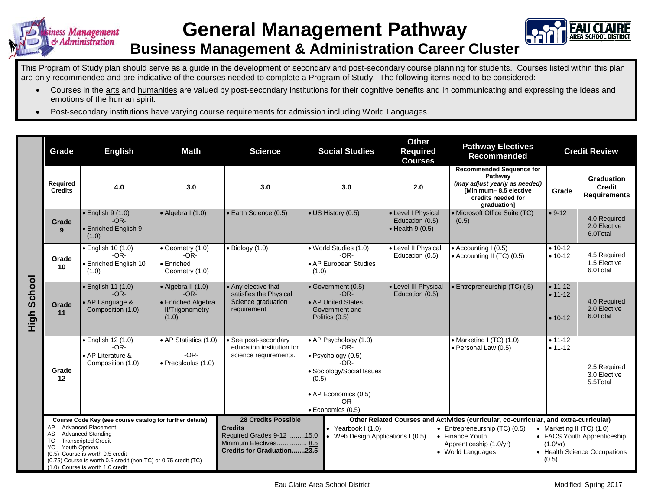



## **Business Management & Administration Career Cluster**

This Program of Study plan should serve as a guide in the development of secondary and post-secondary course planning for students. Courses listed within this plan are only recommended and are indicative of the courses needed to complete a Program of Study. The following items need to be considered:

- Courses in the arts and humanities are valued by post-secondary institutions for their cognitive benefits and in communicating and expressing the ideas and emotions of the human spirit.
- Post-secondary institutions have varying course requirements for admission including World Languages.

|                | Grade                                                                                                                                                                                                                                                                          | <b>English</b><br>Math                                                                                                                                                 |                                                            | <b>Science</b>                                                                                            | <b>Social Studies</b>                                                                                                                                    | <b>Other</b><br><b>Required</b><br><b>Courses</b>                                                                                         | <b>Pathway Electives</b><br><b>Recommended</b>                                                                                            | <b>Credit Review</b>                  |                                                                                                                   |  |  |
|----------------|--------------------------------------------------------------------------------------------------------------------------------------------------------------------------------------------------------------------------------------------------------------------------------|------------------------------------------------------------------------------------------------------------------------------------------------------------------------|------------------------------------------------------------|-----------------------------------------------------------------------------------------------------------|----------------------------------------------------------------------------------------------------------------------------------------------------------|-------------------------------------------------------------------------------------------------------------------------------------------|-------------------------------------------------------------------------------------------------------------------------------------------|---------------------------------------|-------------------------------------------------------------------------------------------------------------------|--|--|
|                | Required<br><b>Credits</b>                                                                                                                                                                                                                                                     | 4.0                                                                                                                                                                    | 3.0                                                        | 3.0                                                                                                       | 3.0                                                                                                                                                      | 2.0                                                                                                                                       | <b>Recommended Sequence for</b><br>Pathway<br>(may adjust yearly as needed)<br>[Minimum-8.5 elective<br>credits needed for<br>graduation] | Grade                                 | <b>Graduation</b><br><b>Credit</b><br><b>Requirements</b>                                                         |  |  |
|                | Grade<br>9                                                                                                                                                                                                                                                                     | $\bullet$ English 9 (1.0)<br>$-OR-$<br>• Enriched English 9<br>(1.0)                                                                                                   | $\bullet$ Algebra I (1.0)                                  | • Earth Science (0.5)                                                                                     | • US History (0.5)                                                                                                                                       | • Level I Physical<br>Education (0.5)<br>$\bullet$ Health 9 (0.5)                                                                         | • Microsoft Office Suite (TC)<br>(0.5)                                                                                                    | $• 9-12$                              | 4.0 Required<br>2.0 Elective<br>6.0Total                                                                          |  |  |
|                | Grade<br>10                                                                                                                                                                                                                                                                    | • English 10 (1.0)<br>$-OR-$<br>• Enriched English 10<br>(1.0)                                                                                                         | • Geometry (1.0)<br>$-OR-$<br>• Enriched<br>Geometry (1.0) | $\bullet$ Biology (1.0)                                                                                   | • World Studies (1.0)<br>-OR-<br>• AP European Studies<br>(1.0)                                                                                          | • Level II Physical<br>Education (0.5)                                                                                                    | • Accounting I (0.5)<br>• Accounting II (TC) (0.5)                                                                                        | $• 10-12$<br>$• 10-12$                | 4.5 Required<br>1.5 Elective<br>6.0Total                                                                          |  |  |
| School<br>High | Grade<br>11                                                                                                                                                                                                                                                                    | $\bullet$ English 11 (1.0)<br>$\bullet$ Algebra II (1.0)<br>$-OR-$<br>$-OR-$<br>• AP Language &<br>• Enriched Algebra<br>Composition (1.0)<br>II/Trigonometry<br>(1.0) |                                                            | • Any elective that<br>satisfies the Physical<br>Science graduation<br>requirement                        | • Government (0.5)<br>$-OR-$<br>• AP United States<br>Government and<br>Politics (0.5)                                                                   | • Level III Physical<br>Education (0.5)                                                                                                   | • Entrepreneurship (TC) (.5)                                                                                                              | $• 11 - 12$<br>$• 11-12$<br>$• 10-12$ | 4.0 Required<br>2.0 Elective<br>6.0Total                                                                          |  |  |
|                | Grade<br>12                                                                                                                                                                                                                                                                    | • English 12 (1.0)<br>$-OR-$<br>AP Literature &<br>Composition (1.0)                                                                                                   | • AP Statistics (1.0)<br>$-OR-$<br>· Precalculus (1.0)     | • See post-secondary<br>education institution for<br>science requirements.                                | • AP Psychology (1.0)<br>$-OR-$<br>· Psychology (0.5)<br>-OR-<br>• Sociology/Social Issues<br>(0.5)<br>• AP Economics (0.5)<br>-OR-<br>· Economics (0.5) |                                                                                                                                           | • Marketing I $(TC)$ $(1.0)$<br>• Personal Law (0.5)                                                                                      | $• 11 - 12$<br>$• 11 - 12$            | 2.5 Required<br>3.0 Elective<br>5.5Total                                                                          |  |  |
|                |                                                                                                                                                                                                                                                                                | Course Code Key (see course catalog for further details)                                                                                                               |                                                            | <b>28 Credits Possible</b>                                                                                |                                                                                                                                                          | Other Related Courses and Activities (curricular, co-curricular, and extra-curricular)                                                    |                                                                                                                                           |                                       |                                                                                                                   |  |  |
|                | <b>Advanced Placement</b><br>AP<br><b>Advanced Standing</b><br>AS<br>TC<br><b>Transcripted Credit</b><br><b>Youth Options</b><br>YO.<br>(0.5) Course is worth 0.5 credit<br>(0.75) Course is worth 0.5 credit (non-TC) or 0.75 credit (TC)<br>(1.0) Course is worth 1.0 credit |                                                                                                                                                                        |                                                            | <b>Credits</b><br>Required Grades 9-12 15.0<br>Minimum Electives 8.5<br><b>Credits for Graduation23.5</b> | • Yearbook $1(1.0)$                                                                                                                                      | • Entrepreneurship $(TC)$ $(0.5)$<br>• Web Design Applications I (0.5)<br>• Finance Youth<br>Apprenticeship (1.0/yr)<br>• World Languages |                                                                                                                                           |                                       | • Marketing II $(TC)$ $(1.0)$<br>• FACS Youth Apprenticeship<br>(1.0/yr)<br>• Health Science Occupations<br>(0.5) |  |  |